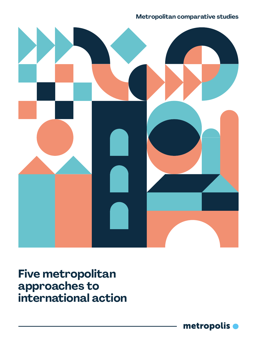#### **Metropolitan comparative studies**



**Five metropolitan approaches to international action**

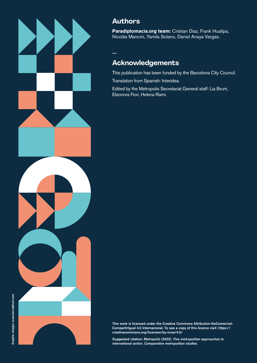

## Graphic design: www.bernatfont.com Graphic design: [www.bernatfont.com](https://www.bernatfont.com)

**Authors**

**--** 

**Paradiplomacia.org team:** Cristian Díaz, Frank Huallpa, Nicolás Mancini, Yamila Solano, Daniel Anaya Vargas.

#### **Acknowledgements**

This publication has been funded by the Barcelona City Council.

Translation from Spanish: Interidea.

Edited by the Metropolis Secretariat General staff: Lia Brum, Eleonora Fiori, Helena Rami.

This work is licensed under the Creative Commons Attribution-NoComercial-CompartirIgual 4.0 Internacional. To see a copy of this licence visit: https:// creativecommons.org/licenses/by-ncsa/4.0/

**2 [T](#page-4-0)able of contents** *international action. Comparative metropolitan studies.*Suggested citation: *Metropolis (2022). Five metropolitan approaches to*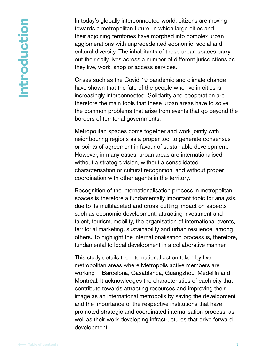In today's globally interconnected world, citizens are moving towards a metropolitan future, in which large cities and their adjoining territories have morphed into complex urban agglomerations with unprecedented economic, social and cultural diversity. The inhabitants of these urban spaces carry out their daily lives across a number of different jurisdictions as they live, work, shop or access services.

Crises such as the Covid-19 pandemic and climate change have shown that the fate of the people who live in cities is increasingly interconnected. Solidarity and cooperation are therefore the main tools that these urban areas have to solve the common problems that arise from events that go beyond the borders of territorial governments.

Metropolitan spaces come together and work jointly with neighbouring regions as a proper tool to generate consensus or points of agreement in favour of sustainable development. However, in many cases, urban areas are internationalised without a strategic vision, without a consolidated characterisation or cultural recognition, and without proper coordination with other agents in the territory.

Recognition of the internationalisation process in metropolitan spaces is therefore a fundamentally important topic for analysis, due to its multifaceted and cross-cutting impact on aspects such as economic development, attracting investment and talent, tourism, mobility, the organisation of international events, territorial marketing, sustainability and urban resilience, among others. To highlight the internationalisation process is, therefore, fundamental to local development in a collaborative manner.

This study details the international action taken by five metropolitan areas where Metropolis active members are working —Barcelona, Casablanca, Guangzhou, Medellín and Montréal. It acknowledges the characteristics of each city that contribute towards attracting resources and improving their image as an international metropolis by saving the development and the importance of the respective institutions that have promoted strategic and coordinated internalisation process, as well as their work developing infrastructures that drive forward development.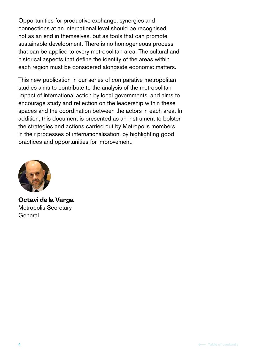Opportunities for productive exchange, synergies and connections at an international level should be recognised not as an end in themselves, but as tools that can promote sustainable development. There is no homogeneous process that can be applied to every metropolitan area. The cultural and historical aspects that define the identity of the areas within each region must be considered alongside economic matters.

This new publication in our series of comparative metropolitan studies aims to contribute to the analysis of the metropolitan impact of international action by local governments, and aims to encourage study and reflection on the leadership within these spaces and the coordination between the actors in each area. In addition, this document is presented as an instrument to bolster the strategies and actions carried out by Metropolis members in their processes of internationalisation, by highlighting good practices and opportunities for improvement.



**Octavi de la Varga** Metropolis Secretary General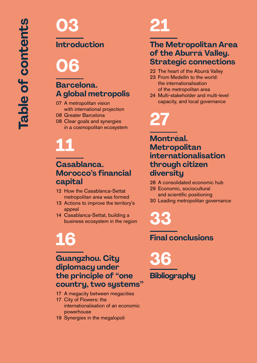**03**

#### **Introduction**

## **06**

### **Barcelona. A global metropolis**

- [07](#page-6-0) A metropolitan vision with international projection
- [08](#page-7-0) Greater Barcelona
- [08](#page-7-0) Clear goals and synergies in a cosmopolitan ecosystem

## **11**

#### **Casablanca. Morocco's financial capital**

- [12](#page-11-0) How the Casablanca-Settat metropolitan area was formed
- [13](#page-12-0) Actions to improve the territory's appeal
- [14](#page-13-0) Casablanca-Settat, building a business ecosystem in the region

## **16**

#### **Guangzhou. City diplomacy under the principle of "one country, two systems"**

- [17](#page-16-0) A megacity between megacities
- [17](#page-16-0) City of Flowers: the internationalisation of an economic powerhouse
- [19](#page-18-0) Synergies in the megalopoli



#### **The Metropolitan Area of the Aburrá Valley. Strategic connections**

- [22](#page-21-0) The heart of the Aburrá Valley
- [23](#page-22-0) From Medellín to the world: the internationalisation of the metropolitan area
- [24](#page-23-0) Multi-stakeholder and multi-level capacity, and local governance

**27**

# <span id="page-4-0"></span>**10**<br> **Example of the Aburra** Valley.<br> **The Metropolitan Area**<br>
of the Aburra Valley.<br> **3 Example of contentring Figure Content**<br> **A** global metropolis<br> **A** *A n A* metropolis<br> **A** *A n A* metropolis<br> *A A metr* **Montréal. Metropolitan internationalisation through citizen diversity**

- [28](#page-27-0) A consolidated economic hub
- [29](#page-28-0) Economic, sociocultural and scientific positioning
- [30](#page-29-0) Leading metropolitan governance

**33**

**Final conclusions**

**36 Bibliography**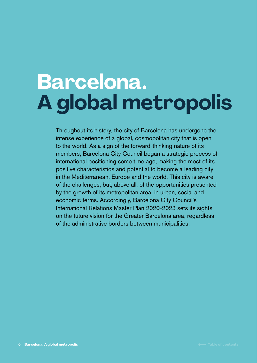## **Barcelona. A global metropolis**

Throughout its history, the city of Barcelona has undergone the intense experience of a global, cosmopolitan city that is open to the world. As a sign of the forward-thinking nature of its members, Barcelona City Council began a strategic process of international positioning some time ago, making the most of its positive characteristics and potential to become a leading city in the Mediterranean, Europe and the world. This city is aware of the challenges, but, above all, of the opportunities presented by the growth of its metropolitan area, in urban, social and economic terms. Accordingly, Barcelona City Council's International Relations Master Plan 2020-2023 sets its sights on the future vision for the Greater Barcelona area, regardless of the administrative borders between municipalities.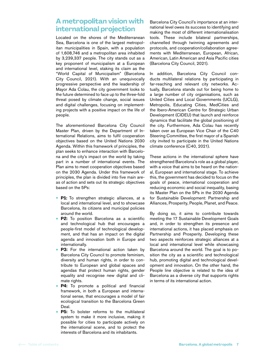#### <span id="page-6-0"></span>**A metropolitan vision with international projection**

Located on the shores of the Mediterranean Sea, Barcelona is one of the largest metropolitan municipalities in Spain, with a population of 1,608,746 and a metropolitan area inhabited by 3,239,337 people. The city stands out as a key proponent of municipalism at a European and international level, staking its claim as the "World Capital of Municipalism" (Barcelona City Council, 2021). With an unequivocally progressive perspective and the leadership of Mayor Ada Colau, the city government looks to the future determined to face up to the three-fold threat posed by climate change, social issues and digital challenges, focusing on implementing projects with a positive impact on the life of people.

The aforementioned Barcelona City Council Master Plan, driven by the Department of International Relations, aims to fulfil cooperation objectives based on the United Nations 2030 Agenda. Within this framework of principles, the plan seeks to enhance interaction with Barcelona and the city's impact on the world by taking part in a number of international events. The Plan aims to meet cooperation objectives based on the 2030 Agenda. Under this framework of principles, the plan is divided into five main areas of action and sets out its strategic objectives based on the 5Ps:

- **P1:** To strengthen strategic alliances, at a local and international level, and to showcase Barcelona, its citizens and municipal policies around the world.
- **P2:** To position Barcelona as a scientific and technological hub that encourages a people-first model of technological development, and that has an impact on the digital agenda and innovation both in Europe and internationally.
- **P3:** For the international action taken by Barcelona City Council to promote feminism, diversity and human rights, in order to contribute to European and global spaces and agendas that protect human rights, gender equality and recognise new digital and climate rights.
- **P4:** To promote a political and financial framework, in both a European and international sense, that encourages a model of fair ecological transition to the Barcelona Green Deal.
- **P5:** To bolster reforms to the multilateral system to make it more inclusive, making it possible for cities to participate actively on the international scene, and to protect the interests of Barcelona and its inhabitants.

Barcelona City Council's importance at an international level owes its success to identifying and making the most of different internationalisation tools. These include bilateral partnerships, channelled through twinning agreements and protocols, and cooperation/collaboration agreements with Mediterranean, European, African, American, Latin American and Asia Pacific cities (Barcelona City Council, 2021).

In addition, Barcelona City Council conducts multilateral relations by participating in far-reaching and relevant city networks. Actually, Barcelona stands out for being home to a large number of city organisations, such as United Cities and Local Governments (UCLG), Metropolis, Educating Cities, MedCities and the Ibero-American Centre for Strategic Urban Development (CIDEU) that launch and reinforce dynamics that facilitate the global positioning of the city. Furthermore, Ada Colau has recently taken over as European Vice Chair of the C40 Steering Committee, the first mayor of a Spanish city invited to participate in the United Nations climate conference (C40, 2021).

These actions in the international sphere have strengthened Barcelona's role as a global player, with a voice that aims to be heard on the national, European and international stage. To achieve this, the government has decided to focus on the goals of peace, international cooperation and reducing economic and social inequality, basing its Master Plan on the 5Ps in the 2030 Agenda for Sustainable Development: Partnership and Alliances, Prosperity, People, Planet, and Peace.

By doing so, it aims to contribute towards meeting the 17 Sustainable Development Goals and, in order to strengthen its presence and international actions, it has placed emphasis on Partnership and Prosperity. Developing these two aspects reinforces strategic alliances at a local and international level while showcasing Barcelona around the world. The goal is to position the city as a scientific and technological hub, promoting digital and technological development and innovation. On the other hand, the People line objective is related to the idea of Barcelona as a diverse city that supports rights in terms of its international action.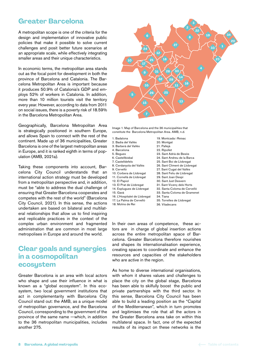#### <span id="page-7-0"></span>**Greater Barcelona**

A metropolitan scope is one of the criteria for the design and implementation of innovative public policies that make it possible to solve current challenges and posit better future scenarios at an appropriate scale, while effectively integrating smaller areas and their unique characteristics.

In economic terms, the metropolitan area stands out as the focal point for development in both the province of Barcelona and Catalonia. The Barcelona Metropolitan Area is important because it produces 50.9% of Catalonia's GDP and employs 52% of workers in Catalonia. In addition, more than 10 million tourists visit the territory every year. However, according to data from 2011 on social issues, there is a poverty risk of 18.59% in the Barcelona Metropolitan Area.

Geographically, Barcelona Metropolitan Area is strategically positioned in southern Europe, and allows Spain to connect with the rest of the continent. Made up of 36 municipalities, Greater Barcelona is one of the largest metropolitan areas in Europe, and it is ranked eighth in terms of population (AMB, 2021a).

Taking these components into account, Barcelona City Council understands that an international action strategy must be developed from a metropolitan perspective and, in addition, must be "able to address the dual challenge of ensuring that Greater Barcelona cooperates and competes with the rest of the world" (Barcelona City Council, 2021). In this sense, the actions undertaken are based on bilateral and multilateral relationships that allow us to find inspiring and replicable practices in the context of the complex urban environment and fragmented administration that are common in most large metropolises in Europe and around the world.

#### **Clear goals and synergies in a cosmopolitan ecosystem**

Greater Barcelona is an area with local actors who shape and use their influence in what is known as a "global ecosystem". In this ecosystem, two local government institutions that act in complementarity with Barcelona City Council stand out: the AMB, as a unique model of metropolitan governance, and the Barcelona Council, corresponding to the government of the province of the same name —which, in addition to the 36 metropolitan municipalities, includes another 275.



Image 1. Map of Barcelona and the 36 municipalities that constitute the Barcelona Metropolitan Area. AMB, n.d.

- 1. Badalona
- 2. Badia del Vallès
- 3. Barberà del Vallès
- 4. Barcelona
- 5. Begues
- 6. Castellbisbal
- 7. Castelldefels
- 8. Cerdanyola del Vallès
- 9. Cervelló 10. Corbera de Llobregat
- 11. Cornellà de Llobregat
- 12. El Papiol
- 13. El Prat de Llobregat
- 14. Esplugues de Llobregat
- 15. Gavà
- 16. L'Hospitalet de Llobregat
- 17. La Palma de Cervelló
- 18. Molins de Rei
- 19. Montcada i Reixac
- 20. Montgat
- 21. Pallejà
- 22. Ripollet
- 23. Sant Adrià de Besòs
- 24. Sant Andreu de la Barca
- 25. Sant Boi de Llobregat
- 26. Sant Climent de Llobregat
- 27. Sant Cugat del Vallès
- 28. Sant Feliu de Llobregat
- 29. Sant Joan Despí
- 30. Sant Just Desvern
- 31. Sant Vicenç dels Horts
- 32. Santa Coloma de Cervelló 33. Santa Coloma de Gramenet
- 34. Tiana
- 
- 35. Torrelles de Llobregat 36. Viladecans

In their own areas of competence, these actors are in charge of global insertion actions across the entire metropolitan space of Barcelona. Greater Barcelona therefore nourishes and shapes its internationalisation experience, creating spaces to coordinate and enhance the resources and capacities of the stakeholders who are active in the region.

As home to diverse international organisations, with whom it shares values and challenges to place the city on the global stage, Barcelona has been able to skilfully boost the public and private partnerships with the third sector. In this sense, Barcelona City Council has been able to build a leading position as the "Capital of the Mediterranean", which in turn promotes and legitimises the role that all the actors in the Greater Barcelona area take on within this multilateral space. In fact, one of the expected results of its impact on these networks is the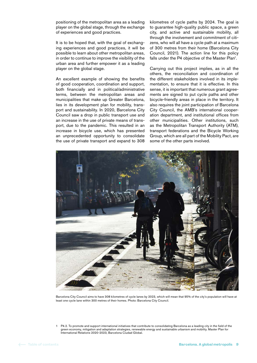positioning of the metropolitan area as a leading player on the global stage, through the exchange of experiences and good practices.

It is to be hoped that, with the goal of exchanging experiences and good practices, it will be possible to learn about other metropolitan areas, in order to continue to improve the visibility of the urban area and further empower it as a leading player on the global stage.

An excellent example of showing the benefits of good cooperation, coordination and support, both financially and in political/administrative terms, between the metropolitan areas and municipalities that make up Greater Barcelona, lies in its development plan for mobility, transport and sustainability. In 2020, Barcelona City Council saw a drop in public transport use and an increase in the use of private means of transport, due to the pandemic. This resulted in an increase in bicycle use, which has presented an unprecedented opportunity to consolidate the use of private transport and expand to 308 kilometres of cycle paths by 2024. The goal is to guarantee high-quality public space, a green city, and active and sustainable mobility, all through the involvement and commitment of citizens, who will all have a cycle path at a maximum of 300 metres from their home (Barcelona City Council, 2021). The action line for this policy falls under the P4 objective of the Master Plan<sup>1</sup>.

Carrying out this project implies, as in all the others, the reconciliation and coordination of the different stakeholders involved in its implementation, to ensure that it is effective. In this sense, it is important that numerous grant agreements are signed to put cycle paths and other bicycle-friendly areas in place in the territory. It also requires the joint participation of Barcelona City Council, the AMB's international cooperation department, and institutional offices from other municipalities. Other institutions, such as the Metropolitan Transport Authority (ATM), transport federations and the Bicycle Working Group, which are all part of the Mobility Pact, are some of the other parts involved.



Barcelona City Council aims to have 308 kilometres of cycle lanes by 2023, which will mean that 95% of the city's population will have at least one cycle lane within 300 metres of their homes. Photo: Barcelona City Council.

<sup>1</sup> P4.2. To promote and support international initiatives that contribute to consolidating Barcelona as a leading city in the field of the green economy, mitigation and adaptation strategies, renewable energy and sustainable urbanism and mobility. Master Plan for International Relations 2020-2023, Barcelona Ciudad Global.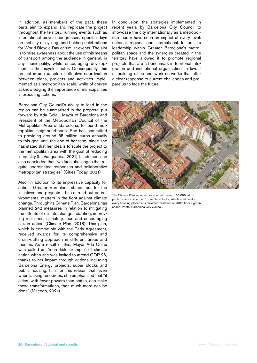In addition, as members of the pact, these parts aim to expand and replicate the project throughout the territory, running events such as international bicycle congresses, specific days on mobility or cycling, and holding celebrations for World Bicycle Day or similar events. The aim is to raise awareness about the use of this means of transport among the audience in general, in any municipality, while encouraging development in the bicycle sector. Consequently, this project is an example of effective coordination between plans, projects and activities implemented at a metropolitan scale, while of course acknowledging the importance of municipalities in executing actions.

In conclusion, the strategies implemented in recent years by Barcelona City Council to showcase the city internationally as a metropolitan leader have seen an impact at every level: national, regional and international. In turn, its leadership within Greater Barcelona's metropolitan space and the synergies created in the territory have allowed it to promote regional projects that are a benchmark in territorial integration and institutional organisation, in favour of building cities and work networks that offer a clear response to current challenges and prepare us to face the future.

Barcelona City Council's ability to lead in the region can be summarised in the proposal put forward by Ada Colau, Mayor of Barcelona and President of the Metropolitan Council of the Metropolitan Area of Barcelona, to found metropolitan neighbourhoods. She has committed to providing around 85 million euros annually to this goal until the end of her term, since she has stated that her idea is to scale the project to the metropolitan area with the goal of reducing inequality (La Vanguardia, 2021). In addition, she also concluded that "we face challenges that require coordinated responses and collaborative metropolitan strategies" (Cities Today, 2021).

Also, in addition to its impressive capacity for action, Greater Barcelona stands out for the initiatives and projects it has carried out on environmental matters in the fight against climate change. Through its Climate Plan, Barcelona has planned 242 measures in relation to mitigating the effects of climate change, adapting, improving resilience, climate justice and encouraging citizen action (Climate Plan, 2018). This plan, which is compatible with the Paris Agreement, received awards for its comprehensive and cross-cutting approach in different areas and themes. As a result of this, Mayor Ada Colau was called an "incredible example" of climate action when she was invited to attend COP 26, thanks to her impact through actions including Barcelona Energy projects, super blocks and public housing. It is for this reason that, even when lacking resources, she emphasised that "if cities, with fewer powers than states, can make these transformations, then much more can be done" (Macedo, 2021).



The Climate Plan includes goals as recovering 100.000 m² of public space inside the L'Eixample's blocks, which would make every housing placed at a maximum distance of 200m from a green space. Photo: Barcelona City Council.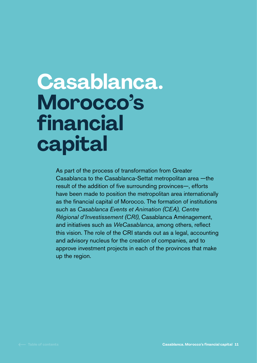## **Casablanca. Morocco's financial capital**

As part of the process of transformation from Greater Casablanca to the Casablanca-Settat metropolitan area —the result of the addition of five surrounding provinces—, efforts have been made to position the metropolitan area internationally as the financial capital of Morocco. The formation of institutions such as *Casablanca Events et Animation (CEA), Centre Régional d'Investissement (CRI)*, Casablanca Aménagement, and initiatives such as *WeCasablanca*, among others, reflect this vision. The role of the CRI stands out as a legal, accounting and advisory nucleus for the creation of companies, and to approve investment projects in each of the provinces that make up the region.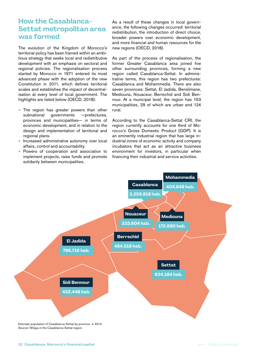#### <span id="page-11-0"></span>**How the Casablanca-Settat metropolitan area was formed**

The evolution of the Kingdom of Morocco's territorial policy has been framed within an ambitious strategy that seeks local and redistributive development with an emphasis on sectoral and regional policies. The regionalisation process started by Morocco in 1971 entered its most advanced phase with the adoption of the new Constitution in 2011, which defines territorial scales and establishes the impact of decentralisation at every level of local government. The highlights are listed below (OECD, 2018):

- The region has greater powers than other<br>subnational qovernments prefectures. governments — prefectures, provinces and municipalities— in terms of economic development, and in relation to the design and implementation of territorial and regional plans.
- **Increased administrative autonomy over local** affairs, control and accountability.
- **Powers of cooperation and association to** implement projects, raise funds and promote solidarity between municipalities.

As a result of these changes in local governance, the following changes occurred: territorial redistribution, the introduction of direct choice, broader powers over economic development, and more financial and human resources for the new regions (OECD, 2018).

As part of the process of regionalisation, the former Greater Casablanca area joined five other surrounding provinces, forming a new region called Casablanca-Settat. In administrative terms, this region has two prefectures: Casablanca and Mohammedia. There are also seven provinces: Settat, El Jadida, Benslimane, Mediouna, Nouaceur, Berrechid and Sidi Bennour. At a municipal level, the region has 153 municipalities, 29 of which are urban and 124 rural.

According to the Casablanca-Settat CRI, the region currently accounts for one third of Morocco's Gross Domestic Product (GDP). It is an eminently industrial region that has large industrial zones of economic activity and company incubators that act as an attractive business environment for investors, in particular when financing their industrial and service activities.



Estimate population of Casablanca-Settat by province in 2014. Source: Wilaya in the Casablanca-Settat region.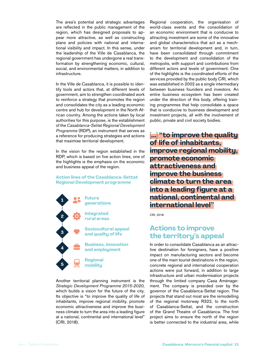<span id="page-12-0"></span>The area's potential and strategic advantages are reflected in the public management of the region, which has designed proposals to appear more attractive, as well as constructing plans and policies with national and international visibility and impact. In this sense, under the leadership of the Ville de Casablanca, the regional government has undergone a real transformation by strengthening economic, cultural, social, and environmental matters, in addition to infrastructure.

In the Ville de Casablanca, it is possible to identify tools and actors that, at different levels of government, aim to strengthen coordinated work to reinforce a strategy that promotes the region and consolidates the city as a leading economic centre and hub for development in the North African country. Among the actions taken by local authorities for this purpose, is the establishment of the *Casablanca-Settat Regional Development Programme* (RDP), an instrument that serves as a reference for producing strategies and actions that maximise territorial development.

In the vision for the region established in the RDP, which is based on five action lines, one of the highlights is the emphasis on the economic and business appeal of the region.

#### **Action lines of the Casablanca-Settat Regional Development programme**



Another territorial planning instrument is the *Strategic Development Programme 2015-2020,* which builds a vision for the future of the city. Its objective is "to improve the quality of life of inhabitants, improve regional mobility, promote economic attractiveness and improve the business climate to turn the area into a leading figure at a national, continental and international level" (CRI, 2018).

Regional cooperation, the organisation of world-class events and the consolidation of an economic environment that is conducive to attracting investment are some of the innovative and global characteristics that act as a mechanism for territorial development and, in turn, have been consolidated through commitment to the development and consolidation of the metropolis, with support and contributions from different actors and levels of government. One of the highlights is the coordinated efforts of the services provided by the public body CRI, which was established in 2002 as a single intermediary between business founders and investors. An entire business ecosystem has been created under the direction of this body, offering training programmes that help consolidate a space that is conducive to business development and investment projects, all with the involvement of public, private and civil society bodies.

**[...] "to improve the quality of life of inhabitants, improve regional mobility, promote economic attractiveness and improve the business climate to turn the area into a leading figure at a national, continental and international level"**

CRI, 2018.

#### **Actions to improve the territory's appeal**

In order to consolidate Casablanca as an attractive destination for foreigners, have a positive impact on manufacturing sectors and become one of the main tourist destinations in the region, concrete regional and international cooperation actions were put forward, in addition to large infrastructure and urban modernisation projects through the limited company Casa Aménagement. The company is presided over by the governor of the Casablanca-Settat region. The projects that stand out most are the remodelling of the regional motorway R322, to the north of Casablanca-Settat, and the construction of the Grand Theatre of Casablanca. The first project aims to ensure the north of the region is better connected to the industrial area, while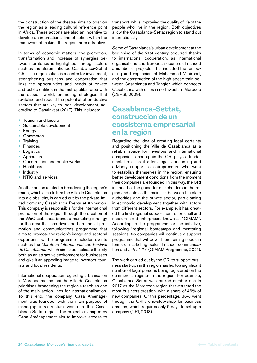<span id="page-13-0"></span>the construction of the theatre aims to position the region as a leading cultural reference point in Africa. These actions are also an incentive to develop an international line of action within the framework of making the region more attractive.

In terms of economic matters, the promotion, transformation and increase of synergies between territories is highlighted, through actors such as the aforementioned Casablanca-Settat CRI. The organisation is a centre for investment. strengthening business and cooperation that links the opportunities and needs of private and public entities in the metropolitan area with the outside world, promoting strategies that revitalise and rebuild the potential of productive sectors that are key to local development, according to CasaInvest (2017). This includes:

- Tourism and leisure<br>• Sustainable develor
- Sustainable development<br>• Energy
- **Energy**
- Commerce
- **•** Training
- Finances
- **•** Logistics
- **Agriculture**
- Construction and public works
- Healthcare<br>• Industry
- **Industry**
- **NTIC and services**

Another action related to broadening the region's reach, which aims to turn the Ville de Casablanca into a global city, is carried out by the private limited company Casablanca Events et Animation. This company is responsible for the international promotion of the region through the creation of the WeCasablanca brand, a marketing strategy for the area that has developed an annual promotion and communications programme that aims to promote the region's image and sectoral opportunities. The programme includes events such as the *Marathon International* and *Festival de Casablanca*, which aim to consolidate the city both as an attractive environment for businesses and give it an appealing image to investors, tourists and local residents.

International cooperation regarding urbanisation in Morocco means that the Ville de Casablanca prioritises broadening the region's reach as one of the main action lines for internationalisation. To this end, the company Casa Aménagement was founded, with the main purpose of managing infrastructure works in the Casablanca-Settat region. The projects managed by Casa Aménagement aim to improve access to

transport, while improving the quality of life of the people who live in the region. Both objectives allow the Casablanca-Settat region to stand out internationally.

Some of Casablanca's urban development at the beginning of the 21st century occurred thanks to international cooperation, as international organisations and European countries financed a number of projects. This included the remodelling and expansion of Mohammed V airport, and the construction of the high-speed train between Casablanca and Tangier, which connects Casablanca with cities in northwestern Morocco (CEPSI, 2009).

#### **Casablanca-Settat, construcción de un ecosistema empresarial en la región**

Regarding the idea of creating legal certainty and positioning the Ville de Casablanca as a reliable space for investors and international companies, once again the CRI plays a fundamental role, as it offers legal, accounting and advisory support to entrepreneurs who want to establish themselves in the region, ensuring better development conditions from the moment their companies are founded. In this way, the CRI is ahead of the game for stakeholders in the region and acts as the main link between the state authorities and the private sector, participating in economic development together with actors from different sectors. For example, it has created the first regional support centre for small and medium-sized enterprises, known as "QIMAM". According to the programme for the initiative, following "regional bootcamps and mentoring sessions, 55 companies will continue a support programme that will cover their training needs in terms of marketing, sales, finance, communication and *soft skills*" (QIMAM Programme, 2021).

The work carried out by the CRI to support business start-ups in the region has led to a significant number of legal persons being registered on the commercial register in the region. For example, Casablanca-Settat was ranked number one in 2017 as the Moroccan region that attracted the most business creation, with a share of 46% of new companies. Of this percentage, 36% went through the CRI's one-stop-shop for business creation, which requires only 5 days to set up a company (CRI, 2018).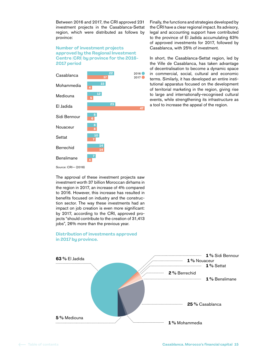Between 2016 and 2017, the CRI approved 231 investment projects in the Casablanca-Settat region, which were distributed as follows by province:

#### **Number of investment projects approved by the Regional Investment Centre (CRI) by province for the 2016- 2017 period**



Finally, the functions and strategies developed by the CRI have a clear regional impact. Its advisory, legal and accounting support have contributed to the province of El Jadida accumulating 63% of approved investments for 2017, followed by Casablanca, with 25% of investment.

In short, the Casablanca-Settat region, led by the Ville de Casablanca, has taken advantage of decentralisation to become a dynamic space in commercial, social, cultural and economic terms. Similarly, it has developed an entire institutional apparatus focused on the development of territorial marketing in the region, giving rise to large and internationally-recognised cultural events, while strengthening its infrastructure as a tool to increase the appeal of the region.

Source: CRI— (2018)

The approval of these investment projects saw investment worth 37 billion Moroccan dirhams in the region in 2017, an increase of 4% compared to 2016. However, this increase has resulted in benefits focused on industry and the construction sector. The way these investments had an impact on job creation is even more significant: by 2017, according to the CRI, approved projects "should contribute to the creation of 31,413 jobs", 26% more than the previous year.



#### **Distribution of investments approved in 2017 by province.**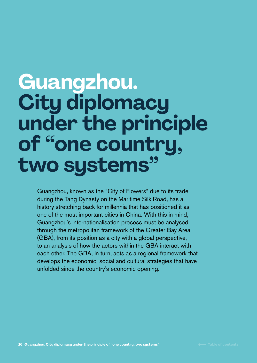## **Guangzhou. City diplomacy under the principle of "one country, two systems"**

Guangzhou, known as the "City of Flowers" due to its trade during the Tang Dynasty on the Maritime Silk Road, has a history stretching back for millennia that has positioned it as one of the most important cities in China. With this in mind, Guangzhou's internationalisation process must be analysed through the metropolitan framework of the Greater Bay Area (GBA), from its position as a city with a global perspective, to an analysis of how the actors within the GBA interact with each other. The GBA, in turn, acts as a regional framework that develops the economic, social and cultural strategies that have unfolded since the country's economic opening.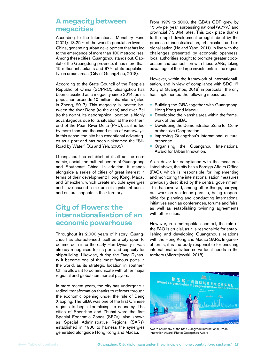#### <span id="page-16-0"></span>**A megacity between megacities**

According to the International Monetary Fund (2021), 18.25% of the world's population lives in China, generating urban development that has led to the emergence of more than 100 metropolises. Among these cities, Guangzhou stands out. Capital of the Guangdong province, it has more than 15 million inhabitants and 87% of its population live in urban areas (City of Guangzhou, 2018).

According to the State Council of the People's Republic of China (SCPRC), Guangzhou has been classified as a megacity since 2014, as its population exceeds 10 million inhabitants (cited in Zheng, 2017). This megacity is located between the river Dong (to the east) and river Bei (to the north). Its geographical location is highly advantageous due to its situation at the northern end of the Pearl River Delta (PRD), as it is fed by more than one thousand miles of waterways. In this sense, the city has exceptional advantages as a port and has been nicknamed the "Silk Road by Water" (Xu and Yeh, 2003).

Guangzhou has established itself as the economic, social and cultural centre of Guangdong and Southeast China. In addition, it stands alongside a series of cities of great interest in terms of their development: Hong Kong, Macau and Shenzhen, which create multiple synergies and have caused a mixture of significant social and cultural aspects in their territory.

#### **City of Flowers: the internationalisation of an economic powerhouse**

Throughout its 2,000 years of history, Guangzhou has characterised itself as a city open to commerce: since the early Han Dynasty it was already recognised for its port and capacity for shipbuilding. Likewise, during the Tang Dynasty it became one of the most famous ports in the world, as its strategic location in southern China allows it to communicate with other major regional and global commercial players.

In more recent years, the city has undergone a radical transformation thanks to reforms through the economic opening under the rule of Deng Xiaoping. The GBA was one of the first Chinese regions to begin liberalising its economy. The cities of Shenzhen and Zhuhai were the first Special Economic Zones (SEZs), also known as Special Administrative Regions (SARs), established in 1980 to harness the synergies generated alongside Hong Kong and Macau.

From 1979 to 2008, the GBA's GDP grew by 15.6% per year, surpassing national (9.77%) and provincial (13.8%) rates. This took place thanks to the rapid development brought about by the process of industrialisation, urbanisation and regionalisation (He and Yang, 2011). In line with the challenges presented by economic openness, local authorities sought to promote greater cooperation and competition with these SARs, taking advantage of their large investments in the region.

However, within the framework of internationalisation, and in view of compliance with SDG 17 (City of Guangzhou, 2018) in particular, the city has implemented the following measures:

- Building the GBA together with Guangdong, Hong Kong and Macau.
- Developing the Nansha area within the framework of the GBA.
- Developing the Demonstration Zone for Comprehensive Cooperation.
- Improving Guangzhou's international cultural presence.
- Organising the Guangzhou International Award for Urban Innovation.

As a driver for compliance with the measures listed above, the city has a Foreign Affairs Office (FAO), which is responsible for implementing and monitoring the internationalisation measures previously described by the central government. This has involved, among other things, carrying out work on residence permits, being responsible for planning and conducting international initiatives such as conferences, forums and fairs, as well as establishing twinning agreements with other cities.

However, in a metropolitan context, the role of the FAO is crucial, as it is responsible for establishing and developing Guangzhou's relations with the Hong Kong and Macao SARs. In general terms, it is the body responsible for ensuring international activities serve local needs in the territory (Mierzejewski, 2018).



Award ceremony of the 5th Guangzhou International Urban Innovation Award. Photo: Guangzhou Award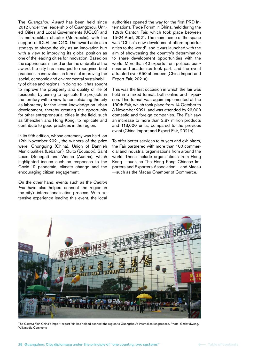The *Guangzhou Award* has been held since 2012 under the leadership of Guangzhou, United Cities and Local Governments (UCLG) and its metropolitan chapter (Metropolis), with the support of ICLEI and C40. The award acts as a strategy to shape the city as an innovation hub with a view to improving its global position as one of the leading cities for innovation. Based on the experiences shared under the umbrella of the award, the city has managed to recognise best practices in innovation, in terms of improving the social, economic and environmental sustainability of cities and regions. In doing so, it has sought to improve the prosperity and quality of life of residents, by aiming to replicate the projects in the territory with a view to consolidating the city as laboratory for the latest knowledge on urban development, thereby creating the opportunity for other entrepreneurial cities in the field, such as Shenzhen and Hong Kong, to replicate and contribute to good practices in the region.

In its fifth edition, whose ceremony was held on 12th November 2021, the winners of the prize were: Chongqing (China), Union of Dannieh Municipalities (Lebanon), Quito (Ecuador), Saint Louis (Senegal) and Vienna (Austria), which highlighted issues such as responses to the Covid-19 pandemic, climate change and the encouraging citizen engagement.

On the other hand, events such as the *Canton Fair* have also helped connect the region in the city's internationalisation process. With extensive experience leading this event, the local

authorities opened the way for the first PRD International Trade Forum in China, held during the 129th Canton Fair, which took place between 15-24 April, 2021. The main theme of the space was "China's new development offers opportunities to the world", and it was launched with the aim of showcasing the country's determination to share development opportunities with the world. More than 40 experts from politics, business and academics took part, and the event attracted over 650 attendees (China Import and Export Fair, 2021a).

This was the first occasion in which the fair was held in a mixed format, both online and in-person. This format was again implemented at the 130th Fair, which took place from 14 October to 3 November 2021, and was attended by 26,000 domestic and foreign companies. The Fair saw an increase to more than 2.87 million products and 113,600 units, compared to the previous event (China Import and Export Fair, 2021b).

To offer better services to buyers and exhibitors, the Fair partnered with more than 100 commercial and industrial organisations from around the world. These include organisations from Hong Kong —such as The Hong Kong Chinese Importers and Exporters Association— and Macau —such as the Macau Chamber of Commerce.



The *Canton Fair*, China's import-export fair, has helped connect the region to Guangzhou's internalisation process. Photo: Gzdavidwong/ Wikimedia Commons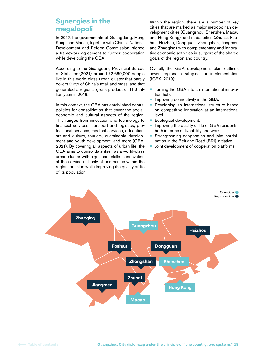#### <span id="page-18-0"></span>**Synergies in the megalopoli**

In 2017, the governments of Guangdong, Hong Kong, and Macau, together with China's National Development and Reform Commission, signed a framework agreement to further cooperation while developing the GBA.

According to the Guangdong Provincial Bureau of Statistics (2021), around 72,669,000 people live in this world-class urban cluster that barely covers 0.6% of China's total land mass, and that generated a regional gross product of 11.6 trillion yuan in 2019.

In this context, the GBA has established central policies for consolidation that cover the social, economic and cultural aspects of the region. This ranges from innovation and technology to financial services, transport and logistics, professional services, medical services, education, art and culture, tourism, sustainable development and youth development, and more (GBA, 2021). By covering all aspects of urban life, the GBA aims to consolidate itself as a world-class urban cluster with significant skills in innovation at the service not only of companies within the region, but also while improving the quality of life of its population.

Within the region, there are a number of key cities that are marked as major metropolitan development cities (Guangzhou, Shenzhen, Macau and Hong Kong), and nodal cities (Zhuhai, Foshan, Huizhou, Dongguan, Zhongshan, Jiangmen and Zhaoqing) with complementary and innovative economic activities in support of the shared goals of the region and country.

Overall, the GBA development plan outlines seven regional strategies for implementation (ICEX, 2019):

- **Turning the GBA into an international innova**tion hub.
- **Improving connectivity in the GBA.**<br>• Developing an international struct
- Developing an international structure based on competitive innovation at an international level.
- **Ecological development.**
- Improving the quality of life of GBA residents, both in terms of liveability and work.
- Strengthening cooperation and joint participation in the Belt and Road (BRI) initiative.
- Joint development of cooperation platforms.

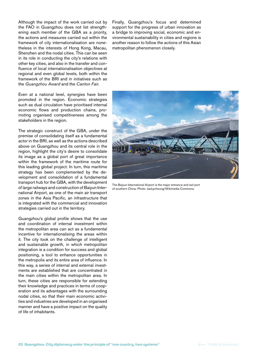Although the impact of the work carried out by the FAO in Guangzhou does not list strengthening each member of the GBA as a priority, the actions and measures carried out within the framework of city internationalisation are nonetheless in the interests of Hong Kong, Macau, Shenzhen and the nodal cities. This can be seen in its role in conducting the city's relations with other key cities, and also in the transfer and confluence of local internationalisation objectives at regional and even global levels, both within the framework of the BRI and in initiatives such as the *Guangzhou Award* and the *Canton Fair*.

Even at a national level, synergies have been promoted in the region. Economic strategies such as dual circulation have prioritised internal economic flows and production chains, promoting organised competitiveness among the stakeholders in the region.

The strategic construct of the GBA, under the premise of consolidating itself as a fundamental actor in the BRI, as well as the actions described above on Guangzhou and its central role in the region, highlight the city's desire to consolidate its image as a global port of great importance within the framework of the maritime route for this leading global project. In turn, this maritime strategy has been complemented by the development and consolidation of a fundamental transport hub for the GBA, with the development of large railways and construction of Baiyun International Airport, as one of the main air transport zones in the Asia Pacific, an infrastructure that is integrated with the commercial and innovation strategies carried out in the territory.

Guangzhou's global profile shows that the use and coordination of internal investment within the metropolitan area can act as a fundamental incentive for internationalising the areas within it. The city took on the challenge of intelligent and sustainable growth, in which metropolitan integration is a condition for success and global positioning, a tool to enhance opportunities in the metropolis and its entire area of influence. In this way, a series of internal and external investments are established that are concentrated in the main cities within the metropolitan area. In turn, these cities are responsible for extending their knowledge and practices in terms of cooperation and its advantages with the surrounding nodal cities, so that their main economic activities and industries are developed in an organised manner and have a positive impact on the quality of life of inhabitants.

Finally, Guangzhou's focus and determined support for the progress of urban innovation as a bridge to improving social, economic and environmental sustainability in cities and regions is another reason to follow the actions of this Asian metropolitan phenomenon closely.



The Baiyun International Airport is the major entrance and exit port of southern China. Photo: Jackycheung/Wikimedia Commons.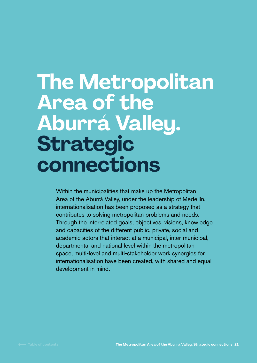## **The Metropolitan Area of the Aburrá Valley. Strategic connections**

Within the municipalities that make up the Metropolitan Area of the Aburrá Valley, under the leadership of Medellín, internationalisation has been proposed as a strategy that contributes to solving metropolitan problems and needs. Through the interrelated goals, objectives, visions, knowledge and capacities of the different public, private, social and academic actors that interact at a municipal, inter-municipal, departmental and national level within the metropolitan space, multi-level and multi-stakeholder work synergies for internationalisation have been created, with shared and equal development in mind.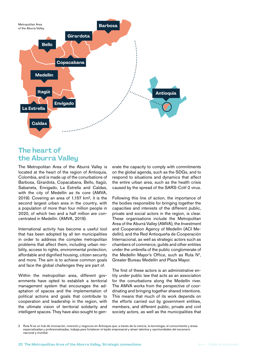<span id="page-21-0"></span>

#### **The heart of the Aburrá Valley**

The Metropolitan Area of the Aburrá Valley is located at the heart of the region of Antioquia, Colombia, and is made up of the conurbations of Barbosa, Girardota, Copacabana, Bello, Itagüí, Sabaneta, Envigado, La Estrella and Caldas, with the city of Medellín as its core (AMVA, 2019). Covering an area of 1,157 km², it is the second largest urban area in the country, with a population of more than four million people in 2020, of which two and a half million are concentrated in Medellín. (AMVA, 2019).

International activity has become a useful tool that has been adopted by all ten municipalities in order to address the complex metropolitan problems that affect them, including urban mobility, access to rights, environmental protection, affordable and dignified housing, citizen security and more. The aim is to achieve common goals and face the global challenges they are part of.

Within the metropolitan area, different governments have opted to establish a territorial management system that encourages the adaptation of spaces and the implementation of political actions and goals that contribute to cooperation and leadership in the region, with the ultimate vision of territorial solidarity and intelligent spaces. They have also sought to generate the capacity to comply with commitments on the global agenda, such as the SDGs, and to respond to situations and dynamics that affect the entire urban area, such as the health crisis caused by the spread of the SARS-CoV-2 virus.

Following this line of action, the importance of the bodies responsible for bringing together the capacities and interests of the different public, private and social actors in the region, is clear. These organisations include the Metropolitan Area of the Aburrá Valley (AMVA), the Investment and Cooperation Agency of Medellín (ACI Medellín), and the Red Antioqueña de Cooperación Internacional, as well as strategic actors such as chambers of commerce, guilds and other entities under the umbrella of the public conglomerate of the Medellín Mayor's Office, such as Ruta  $N^2$ , Greater Bureau Medellín and Plaza Mayor.

The first of these actors is an administrative entity under public law that acts as an association for the conurbations along the Medellín river. The AMVA works from the perspective of coordinating and bringing together shared intentions. This means that much of its work depends on the efforts carried out by government entities, members, and different public, private and civil society actors, as well as the municipalities that

<sup>2</sup> Ruta N es un hub de innovación, inversión y negocios en Antioquia que, a través de la ciencia, la tecnología, el conocimiento y áreas especializadas y profesionalizadas, trabaja para fortalecer el tejido empresarial y atraer talentos y oportunidades del escenario nacional y mundial.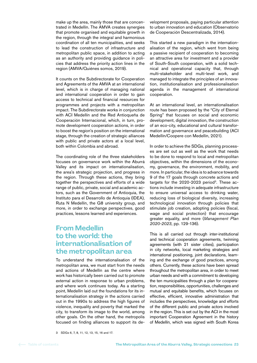<span id="page-22-0"></span>make up the area, mainly those that are concentrated in Medellín. The AMVA creates synergies that promote organised and equitable growth in the region, through the integral and harmonious coordination of all ten municipalities, and seeks to lead the construction of infrastructure and metropolitan public space, in addition to acting as an authority and providing guidance in policies that address the priority action lines in the region (AMVA/Quiénes somos, 2019).

It counts on the Subdirectorate for Cooperation and Agreements of the AMVA at an international level, which is in charge of managing national and international cooperation in order to gain access to technical and financial resources for programmes and projects with a metropolitan impact. The Subdirectorate works in conjunction with ACI Medellín and the Red Antioqueña de Cooperación Internacional, which, in turn, promote development cooperation actions, in order to boost the region's position on the international stage, through the creation of strategic alliances with public and private actors at a local level, both within Colombia and abroad.

The coordinating role of the three stakeholders focuses on governance work within the Aburrá Valley and its impact on internationalisation, the area's strategic projection, and progress in the region. Through these actions, they bring together the perspectives and efforts of a wide range of public, private, social and academic actors, such as the Government of Antioquia, the Instituto para el Desarrollo de Antioquia (IDEA), Ruta N Medellín, the G8 university group, and more, in order to exchange perspectives, good practices, lessons learned and experiences.

#### **From Medellín to the world: the internationalisation of the metropolitan area**

To understand the internationalisation of the metropolitan area, we must start from the needs and actions of Medellín as the centre where work has historically been carried out to promote external action in response to urban problems, and where work continues today. As a starting point, Medellín laid out the foundations for its internationalisation strategy in the actions carried out in the 1990s to address the high figures of violence, inequality and poverty that marked the city, to transform its image to the world, among other goals. On the other hand, the metropolis focused on finding alliances to support its de-

velopment proposals, paying particular attention to urban innovation and education (Observatorio de Cooperación Descentralizada, 2014).

This started a new paradigm in the internationalisation of the region, which went from being a passive recipient of cooperation to becoming an attractive area for investment and a provider of South-South cooperation, with a solid technical and operational capacity that, through multi-stakeholder and multi-level work, and managed to integrate the principles of an innovation, institutionalisation and professionalisation agenda in the management of international cooperation.

At an international level, an internationalisation route has been proposed by the "City of Eternal Spring" that focuses on social and economic development, digital innovation, the construction of an eco-city, educational and cultural transformation and governance and peacebuilding (ACI Medellín/Coopere con Medellín, 2021).

In order to achieve the SDGs, planning processes are set out as well as the work that needs to be done to respond to local and metropolitan objectives, within the dimensions of the economy, governance, the environment, mobility, and more. In particular, the idea is to advance towards 9 of the 17 goals through concrete actions and targets for the 2020-2023 period<sup>3</sup>. These actions include investing in adequate infrastructure to ensure universal access to drinking water, reducing loss of biological diversity, increasing technological innovation through policies that stimulate job creation, adopting policies (fiscal, wage and social protection) that encourage greater equality, and more (*Management Plan 2020-2023,* pp. 129-136).

This is all carried out through inter-institutional and technical cooperation agreements, twinning agreements (with 21 sister cities), participation in city networks, local marketing strategies and international positioning, joint declarations, learning and the exchange of good practices, among others. Currently, these actions have been spread throughout the metropolitan area, in order to meet urban needs and with a commitment to developing the ten municipalities through a plan for cooperation, responsibilities, opportunities, challenges and mutual and equitable benefits, which focuses on effective, efficient, innovative administration that includes the perspectives, knowledge and efforts of the different public and private actors involved in the region. This is set out by the ACI in the most important Cooperation Agreement in the history of Medellín, which was signed with South Korea

<sup>3</sup> SDGs 6, 7, 8, 11, 12, 13, 15, 16 and 17.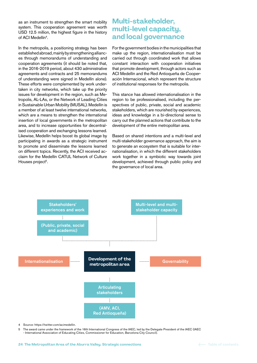<span id="page-23-0"></span>as an instrument to strengthen the smart mobility system. This cooperation agreement was worth USD 12.5 million, the highest figure in the history of ACI Medellín<sup>4</sup>.

In the metropolis, a positioning strategy has been established abroad, mainly by strengthening alliances through memorandums of understanding and cooperation agreements (it should be noted that, in the 2016-2019 period, about 430 administrative agreements and contracts and 25 memorandums of understanding were signed in Medellín alone). These efforts were complemented by work undertaken in city networks, which take up the priority issues for development in the region, such as Metropolis, AL-LAs, or the Network of Leading Cities in Sustainable Urban Mobility (MUSAL). Medellín is a member of at least twelve international networks, which are a means to strengthen the international insertion of local governments in the metropolitan area, and to increase opportunities for decentralised cooperation and exchanging lessons learned. Likewise, Medellín helps boost its global image by participating in awards as a strategic instrument to promote and disseminate the lessons learned on different topics. Recently, the ACI received acclaim for the Medellín CATUL Network of Culture Houses project<sup>5</sup>.

#### **Multi-stakeholder, multi-level capacity, and local governance**

For the government bodies in the municipalities that make up the region, internationalisation must be carried out through coordinated work that allows constant interaction with cooperation initiatives that promote development, through actors such as ACI Medellín and the Red Antioqueña de Cooperación Internacional, which represent the structure of institutional responses for the metropolis.

This stance has allowed internationalisation in the region to be professionalised, including the perspectives of public, private, social and academic stakeholders, which are nourished by experiences, ideas and knowledge in a bi-directional sense to carry out the planned actions that contribute to the development of the entire metropolitan area.

Based on shared intentions and a multi-level and multi-stakeholder governance approach, the aim is to generate an ecosystem that is suitable for internationalisation, in which the different stakeholders work together in a symbiotic way towards joint development, achieved through public policy and the governance of local area.



- 4 Source: https://twitter.com/acimedellin.
- 5 The award came under the framework of the 16th International Congress of the IAEC, led by the Delegate President of the IAEC (IAEC - International Association of Educating Cities, Commissioner for Education, Barcelona City Council).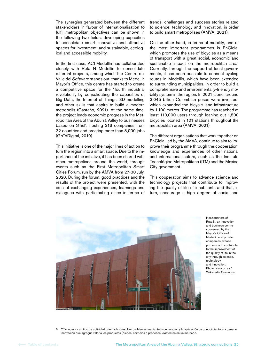The synergies generated between the different stakeholders in favour of internationalisation to fulfil metropolitan objectives can be shown in the following two fields: developing capacities to consolidate smart, innovative and attractive spaces for investment; and sustainable, ecological and accessible mobility.

In the first case, ACI Medellín has collaborated closely with Ruta N Medellín to consolidate different projects, among which the Centro del Valle del Software stands out; thanks to Medellín Mayor's Office, this centre has started to create a competitive space for the "fourth industrial revolution", by consolidating the capacities of Big Data, the Internet of Things, 3D modelling and other skills that aspire to build a modern metropolis (Castaño, 2021). At the same time, the project leads economic progress in the Metropolitan Area of the Aburrá Valley to businesses based on ST&I<sup>6</sup>, hosting 316 companies from 32 countries and creating more than 8,000 jobs (GoToDigital, 2019).

This initiative is one of the major lines of action to turn the region into a smart space. Due to the importance of the initiative, it has been shared with other metropolises around the world, through events such as the First Metropolitan Smart Cities Forum, run by the AMVA from 27-30 July, 2020. During the forum, good practices and the results of the project were presented, with the idea of exchanging experiences, learnings and dialogues with participating cities in terms of trends, challenges and success stories related to science, technology and innovation, in order to build smart metropolises (AMVA, 2021).

On the other hand, in terms of mobility, one of the most important programmes is EnCicla, which promotes the use of bicycles as a means of transport with a great social, economic and sustainable impact on the metropolitan area. Currently, through the support of local governments, it has been possible to connect cycling routes in Medellín, which have been extended to surrounding municipalities, in order to build a comprehensive and environmentally-friendly mobility system in the region. In 2021 alone, around 3.045 billion Colombian pesos were invested, which expanded the bicycle lane infrastructure by 1,100 metres. The programme has reached at least 110,000 users through loaning out 1,800 bicycles located in 101 stations throughout the metropolitan area (AMVA, 2021).

The different organisations that work together on EnCicla, led by the AMVA, continue to aim to improve their programme through the cooperation, knowledge and experiences of other national and international actors, such as the Instituto Tecnológico Metropolitano (ITM) and the Mexico City government.

This cooperation aims to advance science and technology projects that contribute to improving the quality of life of inhabitants and that, in turn, encourage a high degree of social and



Headquarters of Ruta N, an innovation and business centre sponsored by the Mayor's Office of Medellín and private companies, whose purpose is to contribute to the improvement of the quality of life in the city through science, technology and innovation. Photo: Yimicorrea / Wikimedia Commons.

6 CT+i nombra un tipo de actividad orientada a resolver problemas mediante la generación y la aplicación de conocimiento, y a generar innovación que agregue valor a los productos (bienes, servicios o procesos) existentes en un mercado.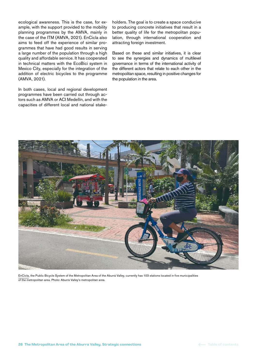ecological awareness. This is the case, for example, with the support provided to the mobility planning programmes by the AMVA, mainly in the case of the ITM (AMVA, 2021). EnCicla also aims to feed off the experience of similar programmes that have had good results in serving a large number of the population through a high quality and affordable service. It has cooperated in technical matters with the EcoBici system in Mexico City, especially for the integration of the addition of electric bicycles to the programme (AMVA, 2021).

In both cases, local and regional development programmes have been carried out through actors such as AMVA or ACI Medellín, and with the capacities of different local and national stakeholders. The goal is to create a space conducive to producing concrete initiatives that result in a better quality of life for the metropolitan population, through international cooperation and attracting foreign investment.

Based on these and similar initiatives, it is clear to see the synergies and dynamics of multilevel governance in terms of the international activity of the different actors that relate to each other in the metropolitan space, resulting in positive changes for the population in the area.



[EnCicla](https://use.metropolis.org/case-studies/encicla----sustainable-mobility-program), the Public Bicycle System of the Metropolitan Area of the Aburrá Valley, currently has 103 stations located in five municipalities of the metropolitan area. Photo: Aburrá Valley's metropolitan area.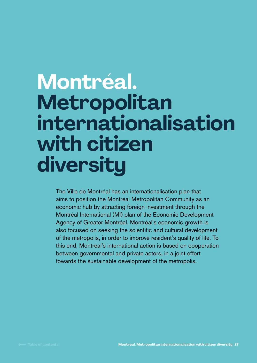## **Montréal. Metropolitan internationalisation with citizen diversity**

The Ville de Montréal has an internationalisation plan that aims to position the Montréal Metropolitan Community as an economic hub by attracting foreign investment through the Montréal International (MI) plan of the Economic Development Agency of Greater Montréal. Montréal's economic growth is also focused on seeking the scientific and cultural development of the metropolis, in order to improve resident's quality of life. To this end, Montréal's international action is based on cooperation between governmental and private actors, in a joint effort towards the sustainable development of the metropolis.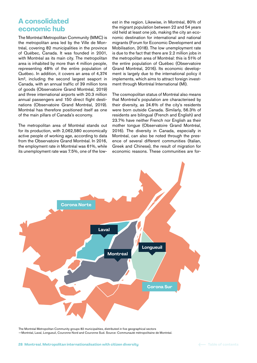#### <span id="page-27-0"></span>**A consolidated economic hub**

The Montréal Metropolitan Community (MMC) is the metropolitan area led by the Ville de Montréal, covering 82 municipalities in the province of Québec, Canada. It was founded in 2001, with Montréal as its main city. The metropolitan area is inhabited by more than 4 million people, representing 48% of the entire population of Québec. In addition, it covers an area of 4,374 km², including the second largest seaport in Canada, with an annual traffic of 39 million tons of goods (Observatoire Grand Montréal, 2019) and three international airports with 20.3 million annual passengers and 150 direct flight destinations (Observatoire Grand Montréal, 2019). Montréal has therefore positioned itself as one of the main pillars of Canada's economy.

The metropolitan area of Montréal stands out for its production, with 2,062,580 economically active people of working age, according to data from the Observatoire Grand Montréal. In 2016, the employment rate in Montréal was 61%, while its unemployment rate was 7.5%, one of the lowest in the region. Likewise, in Montréal, 80% of the migrant population between 22 and 54 years old held at least one job, making the city an economic destination for international and national migrants (Forum for Economic Development and Mobilisation, 2018). The low unemployment rate is due to the fact that there are 2.2 million jobs in the metropolitan area of Montréal: this is 51% of the entire population of Québec (Observatoire Grand Montréal, 2016). Its economic development is largely due to the international policy it implements, which aims to attract foreign investment through Montréal International (MI).

The cosmopolitan status of Montréal also means that Montréal's population are characterised by their diversity, as 24.6% of the city's residents were born outside Canada. Similarly, 56.3% of residents are bilingual (French and English) and 23.7% have neither French nor English as their mother tongue (Observatoire Grand Montréal, 2016). The diversity in Canada, especially in Montréal, can also be noted through the presence of several different communities (Italian, Greek and Chinese), the result of migration for economic reasons. These communities are for-



The Montréal Metropolitan Community groups 82 municipalities, distributed in five geographical sectors —Montréal, Laval, Longueuil, Couronne Nord and Couronne Sud. Source: Communauté métropolitaine de Montréal.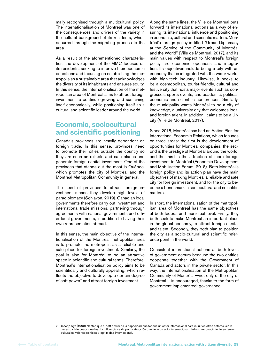<span id="page-28-0"></span>mally recognised through a multicultural policy. The internationalisation of Montréal was one of the consequences and drivers of the variety in the cultural background of its residents, which occurred through the migrating process to the area.

As a result of the aforementioned characteristics, the development of the MMC focuses on its residents, seeking to improve their economic conditions and focusing on establishing the metropolis as a sustainable area that acknowledges the diversity of its inhabitants and ensures equity. In this sense, the internationalisation of the metropolitan area of Montréal aims to attract foreign investment to continue growing and sustaining itself economically, while positioning itself as a cultural and scientific leader around the world.

#### **Economic, sociocultural and scientific positioning**

Canada's provinces are heavily dependent on foreign trade. In this sense, provinces need to promote their cities outside the country so they are seen as reliable and safe places and generate foreign capital investment. One of the provinces that stands out the most is Québec, which promotes the city of Montréal and the Montréal Metropolitan Community in general.

The need of provinces to attract foreign investment means they develop high levels of paradiplomacy (Schiavon, 2019). Canadian local governments therefore carry out investment and international trade missions, partnering through agreements with national governments and other local governments, in addition to having their own representation abroad.

In this sense, the main objective of the internationalisation of the Montréal metropolitan area is to promote the metropolis as a reliable and safe place for foreign investment. Similarly, the goal is also for Montréal to be an attractive space in scientific and cultural terms. Therefore, Montréal's internationalisation policy aims to be scientifically and culturally appealing, which reflects the objective to develop a certain degree of soft power<sup>7</sup> and attract foreign investment.

Along the same lines, the Ville de Montréal puts forward its international actions as a way of ensuring its international influence and positioning in economic, cultural and scientific matters. Montréal's foreign policy is titled "Urban Diplomacy at the Service of the Community of Montréal and the World" (Ville de Montréal, 2017), and its main values with respect to Montréal's foreign policy are economic openness and integration. Its objectives include being a city with an economy that is integrated with the wider world, with high-tech industry. Likewise, it seeks to be a cosmopolitan, tourist-friendly, cultural and festive city that hosts major events such as congresses, sports events, and academic, political, economic and scientific conferences. Similarly, the municipality wants Montréal to be a city of knowledge, a university city that welcomes local and foreign talent. In addition, it aims to be a UN city (Ville de Montréal, 2017).

Since 2018, Montréal has had an Action Plan for International Economic Relations, which focuses on three areas: the first is the development of opportunities for Montréal companies, the second is the prestige of Montréal around the world, and the third is the attraction of more foreign investment to Montréal (Economic Development and Mobilisation Forum, 2018). Both Montréal's foreign policy and its action plan have the main objectives of making Montréal a reliable and safe city for foreign investment, and for the city to become a benchmark in sociocultural and scientific matters.

In short, the internationalisation of the metropolitan area of Montréal has the same objectives at both federal and municipal level. Firstly, they both seek to make Montréal an important place in the global economy, to attract foreign capital and talent. Secondly, they both plan to position the city as a socio-cultural and scientific reference point in the world.

Consistent international actions at both levels of government occurs because the two entities cooperate together with the Government of Canada and actors in the private sector. In this way, the internationalisation of the Metropolitan Community of Montréal —not only of the city of Montréal— is encouraged, thanks to the form of government implemented: governance.

<sup>7</sup> Josehp Nye (1990) plantea que el soft power es la capacidad que tendría un actor internacional para influir en otros actores, sin la necesidad de coaccionarlos. La influencia se da por la atracción que tiene un actor internacional, dado su reconocimiento en temas culturales, valores políticos y legitimidad internacional.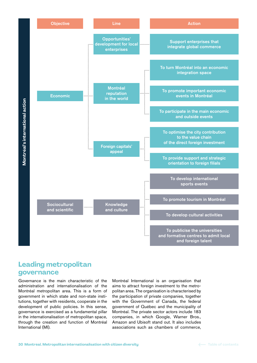<span id="page-29-0"></span>

#### **Leading metropolitan governance**

Governance is the main characteristic of the administration and internationalisation of the Montréal metropolitan area. This is a form of government in which state and non-state institutions, together with residents, cooperate in the development of public policies. In this sense, governance is exercised as a fundamental pillar in the internationalisation of metropolitan space, through the creation and function of Montréal International (MI).

Montréal International is an organisation that aims to attract foreign investment to the metropolitan area. The organisation is characterised by the participation of private companies, together with the Government of Canada, the federal government of Québec and the municipality of Montréal. The private sector actors include 183 companies, in which Google, Warner Bros., Amazon and Ubisoft stand out. It also includes associations such as chambers of commerce,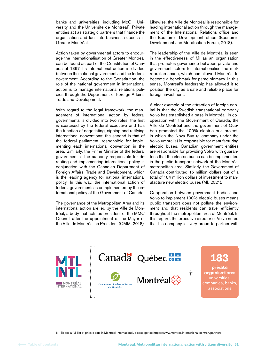banks and universities, including McGill University and the Université de Montréal<sup>8</sup>. Private entities act as strategic partners that finance the organisation and facilitate business success in Greater Montréal.

Action taken by governmental actors to encourage the internationalisation of Greater Montréal can be found as part of the Constitution of Canada of 1867. Its international action is divided between the national government and the federal government. According to the Constitution, the role of the national government in international action is to manage international relations policies through the Department of Foreign Affairs, Trade and Development.

With regard to the legal framework, the management of international action by federal governments is divided into two roles: the first is exercised by the federal executive and has the function of negotiating, signing and ratifying international conventions; the second is that of the federal parliament, responsible for implementing each international convention in the area. Similarly, the Prime Minister of the federal government is the authority responsible for directing and implementing international policy in conjunction with the Canadian Department of Foreign Affairs, Trade and Development, which is the leading agency for national international policy. In this way, the international action of federal governments is complemented by the international policy of the Government of Canada.

The governance of the Metropolitan Area and its international action are led by the Ville de Montréal, a body that acts as president of the MMC Council after the appointment of the Mayor of the Ville de Montréal as President (CMM, 2018). Likewise, the Ville de Montréal is responsible for leading international action through the management of the International Relations office and the Economic Development office (Economic Development and Mobilisation Forum, 2018).

The leadership of the Ville de Montréal is seen in the effectiveness of MI as an organisation that promotes governance between private and government actors to internationalise the metropolitan space, which has allowed Montréal to become a benchmark for paradiplomacy. In this sense, Montréal's leadership has allowed it to position the city as a safe and reliable place for foreign investment.

A clear example of the attraction of foreign capital is that the Swedish transnational company Volvo has established a base in Montréal. In cooperation with the Government of Canada, the Ville de Montréal and the government of Quebec promoted the 100% electric bus project, in which the Nova Bus (a company under the Volvo umbrella) is responsible for manufacturing electric buses. Canadian government entities are responsible for providing Volvo with guarantees that the electric buses can be implemented in the public transport network of the Montréal metropolitan area. Similarly, the Government of Canada contributed 15 million dollars out of a total of 184 million dollars of investment to manufacture new electric buses (MI, 2021).

Cooperation between government bodies and Volvo to implement 100% electric buses means public transport does not pollute the environment and that residents can travel efficiently throughout the metropolitan area of Montréal. In this regard, the executive director of Volvo noted that his company is very proud to partner with



8 To see a full list of private acts in Montréal International, please go to:: https://www.montrealinternational.com/en/partners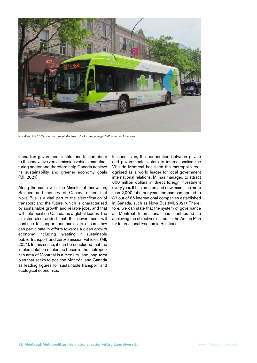

NovaBus, the 100% electric bus of Montréal. Photo: Jason Vogel / Wikimedia Commons.

Canadian government institutions to contribute to the innovative zero-emission vehicle manufacturing sector and therefore help Canada achieve its sustainability and greener economy goals (MI, 2021).

Along the same vein, the Minister of Innovation, Science and Industry of Canada stated that Nova Bus is a vital part of the electrification of transport and the future, which is characterised by sustainable growth and reliable jobs, and that will help position Canada as a global leader. The minister also added that the government will continue to support companies to ensure they can participate in efforts towards a clean growth economy, including investing in sustainable public transport and zero-emission vehicles (MI, 2021). In this sense, it can be concluded that the implementation of electric buses in the metropolitan area of Montréal is a medium- and long-term plan that seeks to position Montréal and Canada as leading figures for sustainable transport and ecological economics.

In conclusion, the cooperation between private and governmental actors to internationalise the Ville de Montréal has seen the metropolis recognised as a world leader for local government international relations. MI has managed to attract 600 million dollars in direct foreign investment every year. It has created and now maintains more than 2,000 jobs per year, and has contributed to 33 out of 65 international companies established in Canada, such as Nova Bus (MI, 2021). Therefore, we can state that the system of governance at Montréal International has contributed to achieving the objectives set out in the Action Plan for International Economic Relations.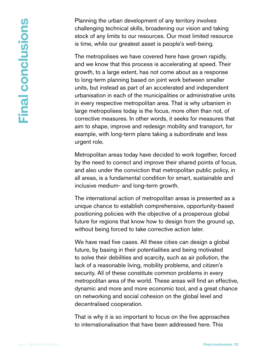Planning the urban development of any territory involves challenging technical skills, broadening our vision and taking stock of any limits to our resources. Our most limited resource is time, while our greatest asset is people's well-being.

The metropolises we have covered here have grown rapidly, and we know that this process is accelerating at speed. Their growth, to a large extent, has not come about as a response to long-term planning based on joint work between smaller units, but instead as part of an accelerated and independent urbanisation in each of the municipalities or administrative units in every respective metropolitan area. That is why urbanism in large metropolises today is the focus, more often than not, of corrective measures. In other words, it seeks for measures that aim to shape, improve and redesign mobility and transport, for example, with long-term plans taking a subordinate and less urgent role.

Metropolitan areas today have decided to work together, forced by the need to correct and improve their shared points of focus, and also under the conviction that metropolitan public policy, in all areas, is a fundamental condition for smart, sustainable and inclusive medium- and long-term growth.

The international action of metropolitan areas is presented as a unique chance to establish comprehensive, opportunity-based positioning policies with the objective of a prosperous global future for regions that know how to design from the ground up, without being forced to take corrective action later.

We have read five cases. All these cities can design a global future, by basing in their potentialities and being motivated to solve their debilities and scarcity, such as air pollution, the lack of a reasonable living, mobility problems, and citizen's security. All of these constitute common problems in every metropolitan area of the world. These areas will find an effective, dynamic and more and more economic tool, and a great chance on networking and social cohesion on the global level and decentralised cooperation.

That is why it is so important to focus on the five approaches to internationalisation that have been addressed here. This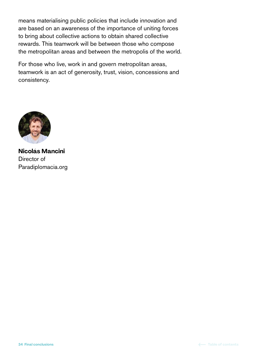means materialising public policies that include innovation and are based on an awareness of the importance of uniting forces to bring about collective actions to obtain shared collective rewards. This teamwork will be between those who compose the metropolitan areas and between the metropolis of the world.

For those who live, work in and govern metropolitan areas, teamwork is an act of generosity, trust, vision, concessions and consistency.



**Nicolás Mancini** Director of Paradiplomacia.org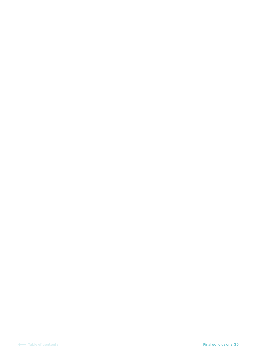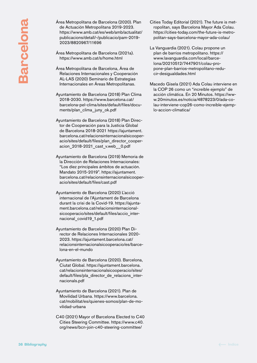- Área Metropolitana de Barcelona (2020). Plan de Actuación Metropolitana 2019-2023. https://www.amb.cat/es/web/amb/actualitat/ publicacions/detall/-/publicacio/pam-2019- 2023/8820967/11696
- Área Metropolitana de Barcelona (2021a). https://www.amb.cat/s/home.html
- Área Metropolitana de Barcelona, Área de Relaciones Internacionales y Cooperación AL-LAS (2020) Seminario de Estrategias Internacionales en Áreas Metropolitanas.
- Ayuntamiento de Barcelona (2018) Plan Clima 2018-2030. https://www.barcelona.cat/ barcelona-pel-clima/sites/default/files/documents/plan\_clima\_juny\_ok.pdf
- Ayuntamiento de Barcelona (2018) Plan Director de Cooperación para la Justicia Global de Barcelona 2018-2021 https://ajuntament. barcelona.cat/relacionsinternacionalsicooperacio/sites/default/files/plan\_director\_cooperacion 2018-2021 cast v.web 0.pdf
- Ayuntamiento de Barcelona (2019) Memoria de la Dirección de Relaciones Internacionales: "Los diez principales ámbitos de actuación. Mandato 2015-2019". https://ajuntament. barcelona.cat/relacionsinternacionalsicooperacio/sites/default/files/cast.pdf
- Ayuntamiento de Barcelona (2020) L'acció internacional de l'Ajuntament de Barcelona durant la crisi de la Covid-19. https://ajuntament.barcelona.cat/relacionsinternacionalsicooperacio/sites/default/files/accio\_internacional\_covid19\_1.pdf
- Ayuntamiento de Barcelona (2020) Plan Director de Relaciones Internacionales 2020- 2023. https://ajuntament.barcelona.cat/ relacionsinternacionalsicooperacio/es/barcelona-en-el-mundo
- Ayuntamiento de Barcelona (2020). Barcelona, Ciutat Global. https://ajuntament.barcelona. cat/relacionsinternacionalsicooperacio/sites/ default/files/pla\_director\_de\_relacions\_internacionals.pdf
- Ayuntamiento de Barcelona (2021). Plan de Movilidad Urbana. https://www.barcelona. cat/mobilitat/es/quienes-somos/plan-de-movilidad-urbana
- C40 (2021) Mayor of Barcelona Elected to C40 Cities Steering Committee. https://www.c40. org/news/bcn-join-c40-steering-committee/
- Cities Today Editorial (2021). The future is metropolitan, says Barcelona Mayor Ada Colau. https://cities-today.com/the-future-is-metropolitan-says-barcelona-mayor-ada-colau/
- La Vanguardia (2021). Colau propone un plan de barrios metropolitano. https:// www.lavanguardia.com/local/barcelona/20210512/7447901/colau-propone-plan-barrios-metropolitano-reducir-desigualdades.html
- Macedo Gisela (2021) Ada Colau interviene en la COP 26 como un "increíble ejemplo" de acción climática. En 20 Minutos. https://www.20minutos.es/noticia/4878223/0/ada-colau-interviene-cop26-como-increible-ejemplo-accion-climatica/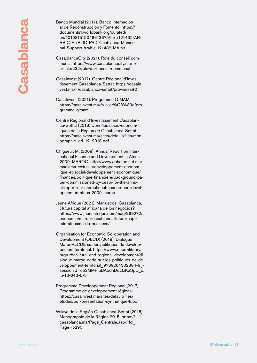Banco Mundial (2017). Banco Internacion al de Reconstrucción y Fomento. https:// documents1.worldbank.org/curated/ en/101031515046613675/text/121432-AR - ABIC-PUBLIC-PAD-Casblanca-Munici pal-Support-Arabic-121432-MA.txt

- CasablancaCity (2021). Role du conseil com munal. https://www.casablancacity.ma/fr/ article/232/role-du-conseil-communal
- CasaInvest (2017). Centre Régional d'Inves tissement Casablanca-Settat. https://casain vest.ma/fr/casablanca-settat/provinces#0
- CasaInvest (2021). Programme QIMAM. https://casainvest.ma/fr/je-cr%C3%A9e/pro gramme-qimam
- Centre Régional d'Investissement Casablan ca-Settat (2018) Données socio-économ iques de la Région de Casablanca-Settat. https://casainvest.ma/sites/default/files/mon ographie\_cri\_12\_2018.pdf
- Chigueur, M. (2009). Annual Report on Inter national Finance and Development in Africa 2009: MAROC. http://www.abhatoo.net.ma/ maalama-textuelle/developpement-econom ique-et-social/developpement-economique/ finances/politique-financiere/background-pa per-commissioned-by-cespi-for-the-annu al-report-on-international-finance-and-devel opment-in-africa-2009-maroc
- Jeune Afrique (2021). Marruecos: Casablanca, ¿futura capital africana de los negocios? https://www.jeuneafrique.com/mag/869272/ economie/maroc-casablanca-future-capi tale-africaine-du-business/
- Organisation for Economic Co-operation and Development (OECD) (2018). Dialogue Maroc-OCDE sur les politiques de dévelop pement territorial. https://www.oecd-ilibrary. org/urban-rural-and-regional-development/di alogue-maroc-ocde-sur-les-politiques-de-de veloppement-territorial\_9789264302884-fr;j sessionid=oe3MMPIuBA5dhDdQzKeSpD\_d. ip-10-240-5-5
- Programme Développement Régional (2017). Programme de développement régional. https://casainvest.ma/sites/default/files/ etudes/pdr-presentation-synthetique-fr.pdf
- Wilaya de la Región Casablanca-Settat (2015). Monographie de la Région 2015. https:// casablanca.ma/Page\_Centrale.aspx?Id\_ Page=5290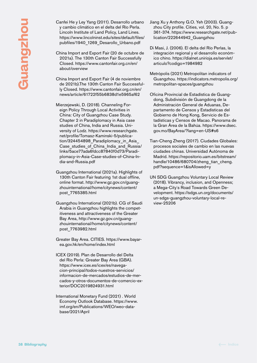- Canfei He y Ley Yang (2011). Desarrollo urbano y cambio climático en el delta del Río Perla. Lincoln Institute of Land Policy, Land Lines. https://www.lincolninst.edu/sites/default/files/ pubfiles/1940\_1269\_Desarollo\_Urbano.pdf
- China Import and Export Fair (20 de octubre de 2021a). The 130th Canton Fair Successfully Closed. https://www.cantonfair.org.cn/en/ about/overview
- China Import and Export Fair (4 de noviembre de 2021b).The 130th Canton Fair Successfully Closed. https://www.cantonfair.org.cn/en/ news/article/61722f55b6838d1e5965af62
- Mierzejewski, D. (2018). Channeling Foreign Policy Through Local Activities in China: City of Guangzhou Case Study. Chapter 2 in Paradiplomacy in Asia case studies of China, India and Russia. University of Lodz. https://www.researchgate. net/profile/Tomasz-Kaminski-5/publication/324454898 Paradiplomacy in Asia Case studies of China India and Russia/ links/5ace77ada6fdcc87840f0d73/Paradiplomacy-in-Asia-Case-studies-of-China-India-and-Russia.pdf
- Guangzhou International (2021a). Highlights of 130th Canton Fair featuring 1st dual offline, online format. http://www.gz.gov.cn/guangzhouinternational/home/citynews/content/ post\_7765385.html
- Guangzhou International (2021b). CG of Saudi Arabia in Guangzhou highlights the competitiveness and attractiveness of the Greater Bay Area, http://www.gz.gov.cn/guangzhouinternational/home/citynews/content/ post\_7763982.html
- Greater Bay Area. CITIES. https://www.bayarea.gov.hk/en/home/index.html
- ICEX (2019). Plan de Desarrollo del Delta del Río Perla: Greater Bay Area (GBA). https://www.icex.es/icex/es/navegacion-principal/todos-nuestros-servicios/ informacion-de-mercados/estudios-de-mercados-y-otros-documentos-de-comercio-exterior/DOC2019824931.html
- International Monetary Fund (2021) . World Economy Outlook Database. https://www. imf.org/en/Publications/WEO/weo-database/2021/April
- Jiang Xu y Anthony G.O. Yeh (2003). Guangzhou City profile. Cities, vol. 20, No. 5. p 361-374. https://www.researchgate.net/publication/222644942\_Guangzhou
- Di Masi, J. (2006). El delta del Río Perlas, la integración regional y el desarrollo económico chino. https://dialnet.unirioja.es/servlet/ articulo?codigo=1984982
- Metrópolis (2021) Metropolitan indicators of Guangzhou. https://indicators.metropolis.org/ metropolitan-spaces/guangzhou
- Oficina Provincial de Estadística de Guangdong, Subdivisión de Guangdong de la Administración General de Aduanas, Departamento de Censos y Estadísticas del Gobierno de Hong Kong, Servicio de Estadísticas y Censos de Macao. Panorama de la Gran Área de la Bahúa. https://www.dsec. gov.mo/BayArea/?lang=en-US#s6
- Tian-Cheng Zheng (2017). Ciudades Globales: procesos sociales de cambio en las nuevas ciudades chinas. Universidad Autónoma de Madrid. https://repositorio.uam.es/bitstream/ handle/10486/680704/zheng\_tian\_cheng. pdf?sequence=1&isAllowed=y
- UN SDG Guangzhou Voluntary Local Review (2018). Vibrancy, inclusion, and Openness; a Mega-City`s Road Towards Green Development. https://sdgs.un.org/documents/ un-sdgs-guangzhou-voluntary-local-review-25206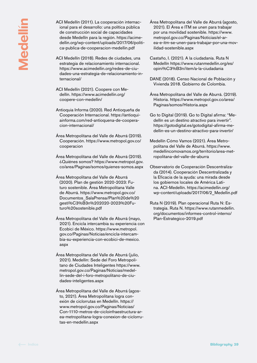- ACI Medellín (2011). La cooperación internacional para el desarrollo: una política pública de construcción social de capacidades desde Medellín para la región. https://acimedellin.org/wp-content/uploads/2017/06/politica-publica-de-cooperacion-medellin.pdf
- ACI Medellín (2018). Redes de ciudades, una estrategia de relacionamiento internacional. https://www.acimedellin.org/redes-de-ciudades-una-estrategia-de-relacionamiento-internacional/
- ACI Medellín (2021). Coopere con Medellín. https://www.acimedellin.org/ coopere-con-medellin/
- Antioquia Informa (2020). Red Antioqueña de Cooperación Internacional. https://antioquiainforma.com/red-antioquena-de-cooperacion-internacional/
- Área Metropolitana del Valle de Aburrá (2019). Cooperación. https://www.metropol.gov.co/ cooperacion
- Área Metropolitana del Valle de Aburrá (2019). ¿Quiénes somos? https://www.metropol.gov. co/area/Paginas/somos/quienes-somos.aspx
- Área Metropolitana del Valle de Aburrá (2020). Plan de gestión 2020-2023: Futuro sostenible. Área Metropolitana Valle de Aburrá. https://www.metropol.gov.co/ Documentos\_SalaPrensa/Plan%20de%20 gesti%C3%B3n%202020-2023%20Futuro%20sostenible.pdf
- Área Metropolitana del Valle de Aburrá (mayo, 2021). Encicla intercambia su experiencia con Ecobici de México. https://www.metropol. gov.co/Paginas/Noticias/encicla-intercambia-su-experiencia-con-ecobici-de-mexico. aspx
- Área Metropolitana del Valle de Aburrá (julio, 2021). Medellín: Sede del Foro Metropolitano de Ciudades Inteligentes https://www. metropol.gov.co/Paginas/Noticias/medellin-sede-del-i-foro-metropolitano-de-ciudades-inteligentes.aspx
- Área Metropolitana del Valle de Aburrá (agosto, 2021). Área Metropolitana logra conexión de ciclorrutas en Medellín. https:// www.metropol.gov.co/Paginas/Noticias/ Con-1110-metros-de-cicloinfraestructura-area-metropolitana-logra-conexion-de-ciclorrutas-en-medellin.aspx
- Área Metropolitana del Valle de Aburrá (agosto, 2021). El Área e ITM se unen para trabajar por una movilidad sostenible. https://www. metropol.gov.co/Paginas/Noticias/el-area-e-itm-se-unen-para-trabajar-por-una-movilidad-sostenible.aspx
- Castaño, I. (2021). A la ciudadanía. Ruta N Medellín https://www.rutanmedellin.org/es/ opini%C3%B3n/item/a-la-ciudadania
- DANE (2018). Censo Nacional de Población y Vivienda 2018. Gobierno de Colombia.
- Área Metropolitana del Valle de Aburrá. (2019). Historia. https://www.metropol.gov.co/area/ Paginas/somos/Historia.aspx
- Go to Digital (2019). Go to Digital afirma: "Medellín es un destino atractivo para invertir". https://gotodigital.es/gotodigital-afirma-medellin-es-un-destino-atractivo-para-invertir/
- Medellín Cómo Vamos (2021). Área Metropolitana del Valle de Aburrá. https://www. medellincomovamos.org/territorio/area-metropolitana-del-valle-de-aburra
- Observatorio de Cooperación Descentralizada (2014). Cooperación Descentralizada y la Eficacia de la ayuda: una mirada desde los gobiernos locales de América Latina. ACI-Medellín. https://acimedellin.org/ wp-content/uploads/2017/06/2\_Medellin.pdf
- Ruta N (2019). Plan operacional Ruta N: Estrategia. Ruta N. https://www.rutanmedellin. org/documentos/informes-control-interno/ Plan-Estrategico-2019.pdf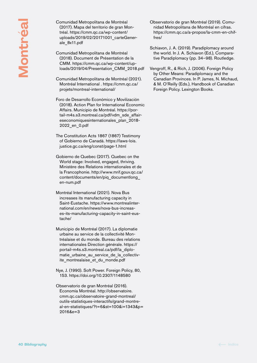- Comunidad Metropolitana de Montréal (2017). Mapa del territorio de gran Montréal. https://cmm.qc.ca/wp-content/ uploads/2019/02/20171001\_carteGenerale\_8x11.pdf
- Comunidad Metropolitana de Montréal (2018). Document de Présentation de la CMM. https://cmm.qc.ca/wp-content/uploads/2019/04/Presentation\_CMM\_2018.pdf
- Comunidad Metropolitana de Montréal (2021). Montréal International . https://cmm.qc.ca/ projets/montreal-international/
- Foro de Desarrollo Económico y Movilización (2018). Action Plan for International Economic Affairs. Municipio de Montréal. https://portail-m4s.s3.montreal.ca/pdf/vdm\_sde\_affaireseconomiquesinternationales\_plan\_2018- 2022\_en\_0.pdf
- The Constitution Acts 1867 (1867) Testimony of Gobierno de Canadá. https://laws-lois. justice.gc.ca/eng/const/page-1.html
- Gobierno de Quebec (2017). Quebec on the World stage: Involved, engaged, thriving. Ministère des Relations internationales et de la Francophonie. http://www.mrif.gouv.qc.ca/ content/documents/en/piq\_documentlong\_ en-num.pdf
- Montréal International (2021). Nova Bus increases its manufacturing capacity in Saint-Eustache. https://www.montrealinternational.com/en/news/nova-bus-increases-its-manufacturing-capacity-in-saint-eustache/
- Municipio de Montréal (2017). La diplomatie urbaine au service de la collectivité Montréalaise et du monde. Bureau des relations internationales Direction générale. https:// portail-m4s.s3.montreal.ca/pdf/la\_diplomatie urbaine au service de la collectivite montrealaise et du monde.pdf
- Nye, J. (1990). Soft Power. Foreign Policy, 80, 153. https://doi.org/10.2307/1148580
- Observatorio de gran Montréal (2016). Economía Montréal. http://observatoire. cmm.qc.ca/observatoire-grand-montreal/ outils-statistiques-interactifs/grand-montreal-en-statistiques/?t=6&st=100&i=1343&p= 2016&e=3
- Observatorio de gran Montréal (2019). Comunidad Metropolitana de Montréal en cifras. https://cmm.qc.ca/a-propos/la-cmm-en-chiffres/
- Schiavon, J. A. (2019). Paradiplomacy around the world. In J. A. Schiavon (Ed.), Comparative Paradiplomacy (pp. 34–98). Routledge.
- Vengroff, R., & Rich, J. (2006). Foreign Policy by Other Means: Paradiplomacy and the Canadian Provinces. In P. James, N. Michaud, & M. O'Reilly (Eds.), Handbook of Canadian Foreign Policy. Lexington Books.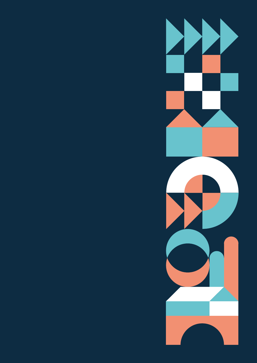